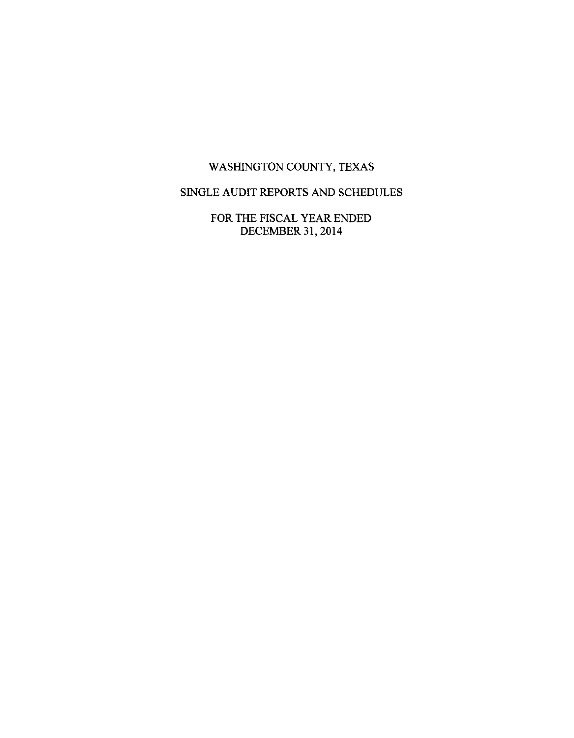# WASHINGTON COUNTY, TEXAS

# SINGLE AUDIT REPORTS AND SCHEDULES

FOR THE FISCAL YEAR ENDED DECEMBER 31, 2014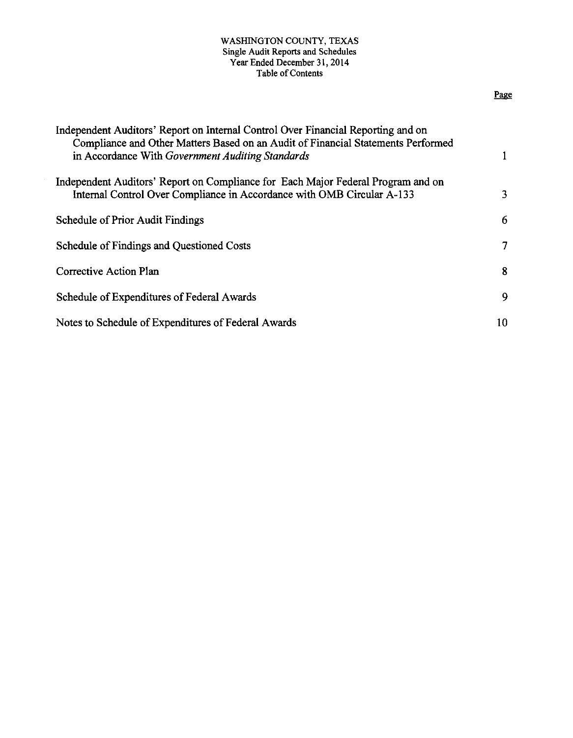#### WASHINGTON COUNTY, TEXAS Single Audit Reports and Schedules Year Ended December 31, 2014 Table of Contents

| Independent Auditors' Report on Internal Control Over Financial Reporting and on<br>Compliance and Other Matters Based on an Audit of Financial Statements Performed<br>in Accordance With Government Auditing Standards | $\mathbf{1}$   |
|--------------------------------------------------------------------------------------------------------------------------------------------------------------------------------------------------------------------------|----------------|
| Independent Auditors' Report on Compliance for Each Major Federal Program and on<br>Internal Control Over Compliance in Accordance with OMB Circular A-133                                                               | 3.             |
| <b>Schedule of Prior Audit Findings</b>                                                                                                                                                                                  | 6              |
| Schedule of Findings and Questioned Costs                                                                                                                                                                                | $\overline{7}$ |
| Corrective Action Plan                                                                                                                                                                                                   | 8              |
| Schedule of Expenditures of Federal Awards                                                                                                                                                                               | 9              |
| Notes to Schedule of Expenditures of Federal Awards                                                                                                                                                                      | 10             |

## Page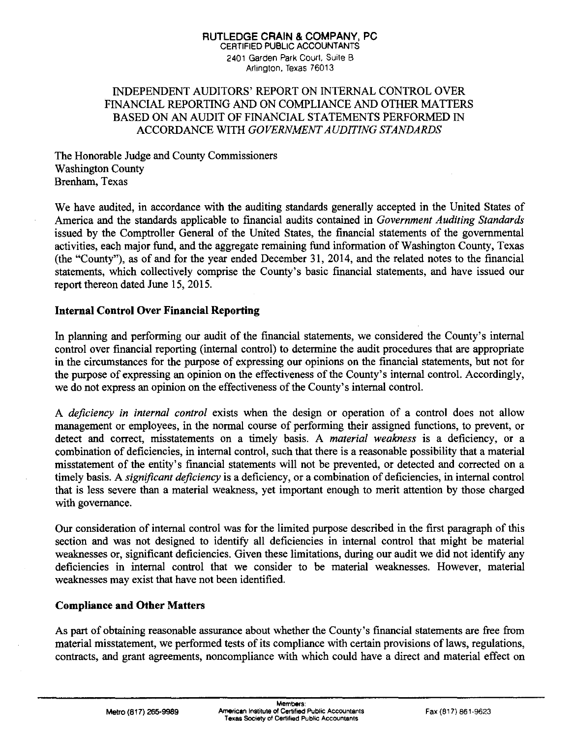#### **RUTLEDGE CRAIN & COMPANY, PC**  CERTIFIED PUBLIC ACCOUNTANTS

2401 Garden Park Court. Suite B Arlington. Texas 76013

## INDEPENDENT AUDITORS' REPORT ON INTERNAL CONTROL OVER FINANCIAL REPORTING AND ON COMPLIANCE AND OTHER MATTERS BASED ON AN AUDIT OF FINANCIAL STATEMENTS PERFORMED IN ACCORDANCE WITH *GOVERNMENT AUDITING STANDARDS*

The Honorable Judge and County Commissioners Washington County Brenham, Texas

We have audited, in accordance with the auditing standards generally accepted in the United States of America and the standards applicable to financial audits contained in *Government Auditing Standards*  issued by the Comptroller General of the United States, the financial statements of the governmental activities, each major fund, and the aggregate remaining fund information of Washington County, Texas (the "County"), as of and for the year ended December 31, 2014, and the related notes to the financial statements, which collectively comprise the County's basic financial statements, and have issued our report thereon dated June 15,2015.

## **Internal Control Over Financial Reporting**

In planning and performing our audit of the fmancial statements, we considered the County's internal control over financial reporting (internal control) to determine the audit procedures that are appropriate in the circumstances for the purpose of expressing our opinions on the financial statements, but not for the purpose of expressing an opinion on the effectiveness of the County's internal control. Accordingly, we do not express an opinion on the effectiveness of the County's internal control.

A *deficiency in internal control* exists when the design or operation of a control does not allow management or employees, in the normal course of performing their assigned functions, to prevent, or detect and correct, misstatements on a timely basis. A *material weakness* is a deficiency, or a combination of deficiencies, in internal control, such that there is a reasonable possibility that a material misstatement of the entity's financial statements will not be prevented, or detected and corrected on a timely basis. A *significant deficiency* is a deficiency, or a combination of deficiencies, in internal control that is less severe than a material weakness, yet important enough to merit attention by those charged with governance.

Our consideration of internal control was for the limited purpose described in the first paragraph of this section and was not designed to identify all deficiencies in internal control that might be material weaknesses or, significant deficiencies. Given these limitations, during our audit we did not identify any deficiencies in internal control that we consider to be material weaknesses. However, material weaknesses may exist that have not been identified.

### **Compliance and Other Matters**

As part of obtaining reasonable assurance about whether the County's financial statements are free from material misstatement, we performed tests of its compliance with certain provisions of laws, regulations, contracts, and grant agreements, noncompliance with which could have a direct and material effect on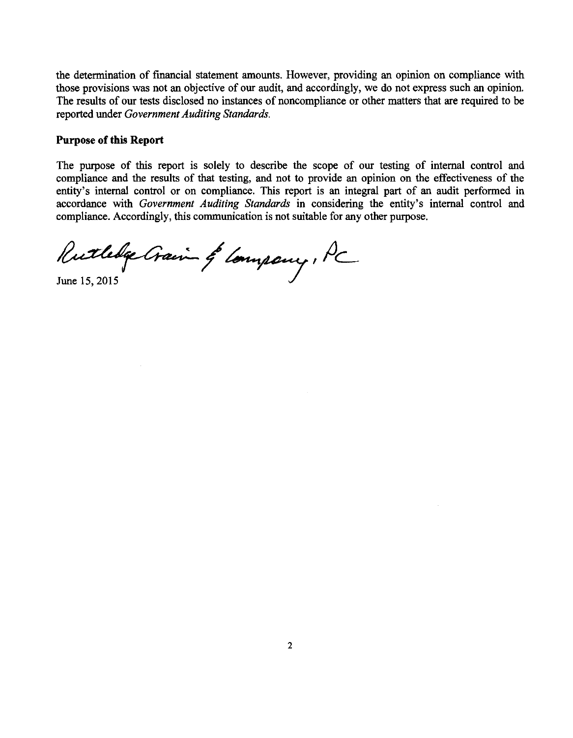the determination of financial statement amounts. However, providing an opinion on compliance with those provisions was not an objective of our audit, and accordingly, we do not express such an opinion. The results of our tests disclosed no instances of noncompliance or other matters that are required to be reported under *Government Auditing Standards*.

#### **Purpose of this Report**

The purpose of this report is solely to describe the scope of our testing of internal control and compliance and the results of that testing, and not to provide an opinion on the effectiveness of the entity's internal control or on compliance. This report is an integral part of an audit performed in accordance with *Government Auditing Standards* in considering the entity's internal control and compliance. Accordingly, this communication is not suitable for any other purpose.

Rutledge Gain & Company, PC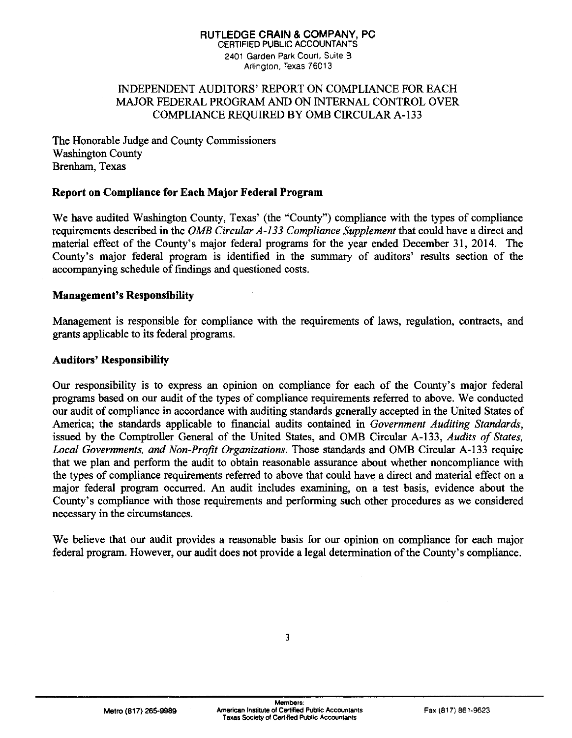# **RUTLEDGE CRAIN & COMPANY, PC**

CERTIFIED PUBLIC ACCOUNTANTS 2401 Garden Park Court, Suite B Arlington, Texas 76013

# INDEPENDENT AUDITORS' REPORT ON COMPLIANCE FOR EACH MAJOR FEDERAL PROGRAM AND ON INTERNAL CONTROL OVER COMPLIANCE REQUIRED BY OMB CIRCULAR A-133

The Honorable Judge and County Commissioners Washington County Brenham, Texas

### **Report on Compliance for Each Major Federal Program**

We have audited Washington County, Texas' (the "County") compliance with the types of compliance requirements described in the *OMB Circular A-i33 Compliance Supplement* that could have a direct and material effect of the County's major federal programs for the year ended December 31, 2014. The County's major federal program is identified in the summary of auditors' results section of the accompanying schedule of findings and questioned costs.

#### **Management's Responsibility**

Management is responsible for compliance with the requirements of laws, regulation, contracts, and grants applicable to its federal programs.

#### **Auditors' Responsibility**

Our responsibility is to express an opinion on compliance for each of the County's major federal programs based on our audit of the types of compliance requirements referred to above. We conducted our audit of compliance in accordance with auditing standards generally accepted in the United States of America; the standards applicable to fmancial audits contained in *Government Auditing Standards,*  issued by the Comptroller General of the United States, and OMB Circular A-133, *Audits of States. Local Governments, and Non-Profit Organizations,* Those standards and OMB Circular A-133 require that we plan and perform the audit to obtain reasonable assurance about whether noncompliance with the types of compliance requirements referred to above that could have a direct and material effect on a major federal program occurred. An audit includes examining, on a test basis, evidence about the County's compliance with those requirements and performing such other procedures as we considered necessary in the circumstances.

We believe that our audit provides a reasonable basis for our opinion on compliance for each major federal program. However, our audit does not provide a legal determination of the County's compliance.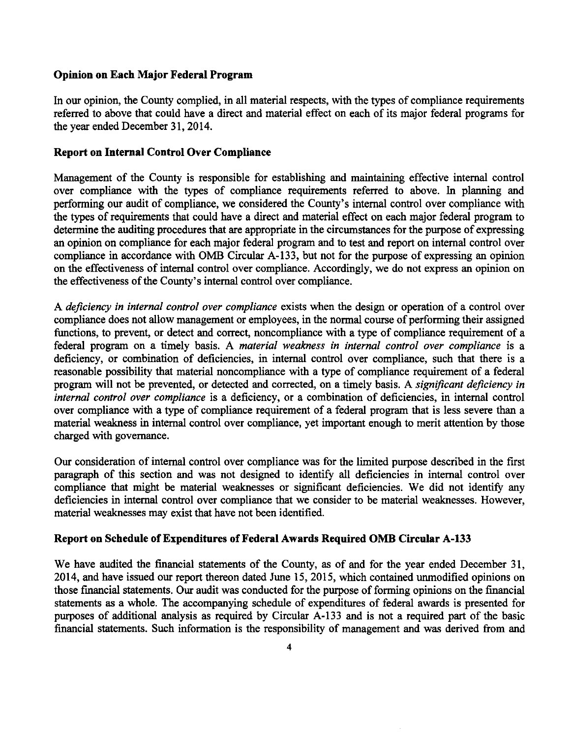#### **Opinion on Each Major Federal Program**

In our opinion, the County complied, in all material respects, with the types of compliance requirements referred to above that could have a direct and material effect on each of its major federal programs for the year ended December 31, 2014.

### **Report on Internal Control Over Compliance**

Management of the County is responsible for establishing and maintaining effective internal control over compliance with the types of compliance requirements referred to above. In planning and performing our audit of compliance, we considered the County's internal control over compliance with the types of requirements that could have a direct and material effect on each major federal program to determine the auditing procedures that are appropriate in the circumstances for the purpose of expressing an opinion on compliance for each major federal program and to test and report on internal control over compliance in accordance with OMB Circular A-133, but not for the purpose of expressing an opinion on the effectiveness of internal control over compliance. Accordingly, we do not express an opinion on the effectiveness of the County's internal control over compliance.

A *deficiency in internal control over compliance* exists when the design or operation of a control over compliance does not allow management or employees, in the normal course of performing their assigned functions, to prevent, or detect and correct, noncompliance with a type of compliance requirement of a federal program on a timely basis. A *material weakness in internal control over compliance* is a deficiency, or combination of deficiencies, in internal control over compliance, such that there is a reasonable possibility that material noncompliance with a type of compliance requirement of a federal program will not be prevented, or detected and corrected, on a timely basis. A *significant deficiency in internal control over compliance* is a deficiency, or a combination of deficiencies, in internal control over compliance with a type of compliance requirement of a federal program that is less severe than a material weakness in internal control over compliance, yet important enough to merit attention by those charged with governance.

Our consideration of internal control over compliance was for the limited purpose described in the first paragraph of this section and was not designed to identify all deficiencies in internal control over compliance that might be material weaknesses or significant deficiencies. We did not identify any deficiencies in internal control over compliance that we consider to be material weaknesses. However, material weaknesses may exist that have not been identified.

### **Report on Schedule** of Expenditures of Federal **Awards Required OMB Circular** A-133

We have audited the financial statements of the County, as of and for the year ended December 31, 2014, and have issued our report thereon dated June 15,2015, which contained unmodified opinions on those fmancial statements. Our audit was conducted for the purpose of forming opinions on the financial statements as a whole. The accompanying schedule of expenditures of federal awards is presented for purposes of additional analysis as required by Circular A-133 and is not a required part of the basic financial statements. Such information is the responsibility of management and was derived from and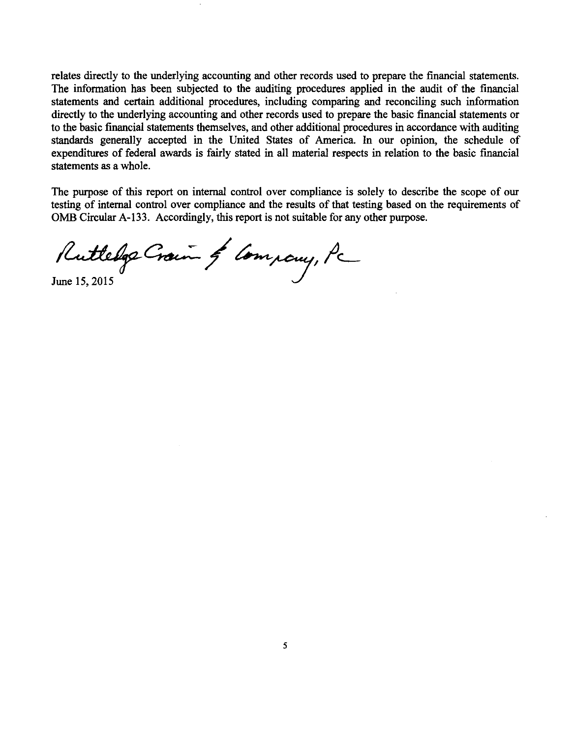relates directly to the underlying accounting and other records used to prepare the fmancial statements. The information has been subjected to the auditing procedures applied in the audit of the financial statements and certain additional procedures, including comparing and reconciling such information directly to the underlying accounting and other records used to prepare the basic financial statements or to the basic financial statements themselves, and other additional procedures in accordance with auditing standards generally accepted in the United States of America. In our opinion, the schedule of expenditures of federal awards is fairly stated in all material respects in relation to the basic fmancial statements as a whole.

The purpose of this report on internal control over compliance is solely to describe the scope of our testing of internal control over compliance and the results of that testing based on the requirements of OMB Circular A-133. Accordingly, this report is not suitable for any other purpose.

Rutledge Crain & Company, Pc

June 15, 2015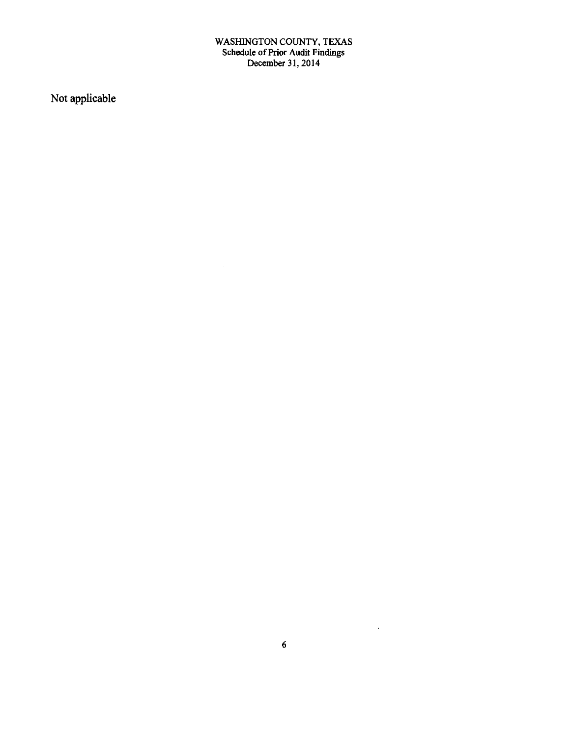#### WASHINGTON COUNTY, TEXAS Schedule of Prior Audit Findings December 31, 2014

# Not applicable

 $\sim$   $\lambda$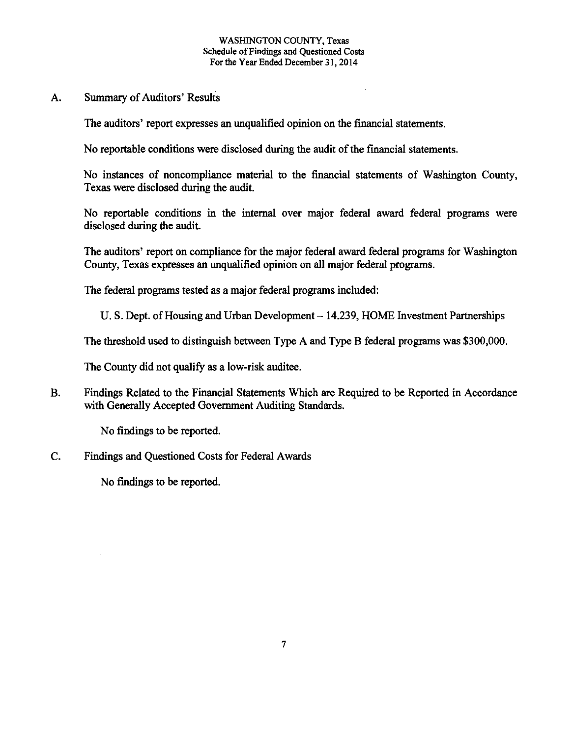#### WASHINGTON COUNTY, Texas Schedule of Findings and Questioned Costs For the Year Ended December 31, 2014

A. Summary of Auditors' Results

The auditors' report expresses an unqualified opinion on the financial statements.

No reportable conditions were disclosed during the audit of the financial statements.

No instances of noncompliance material to the financial statements of Washington County, Texas were disclosed during the audit.

No reportable conditions in the internal over major federal award federal programs were disclosed during the audit.

The auditors' report on compliance for the major federal award federal programs for Washington County, Texas expresses an unqualified opinion on all major federal programs.

The federal programs tested as a major federal programs included:

U. S. Dept. of Housing and Urban Development – 14.239, HOME Investment Partnerships

The threshold used to distinguish between Type A and Type B federal programs was \$300,000.

The County did not qualify as a low-risk auditee.

B. Findings Related to the Financial Statements Which are Required to be Reported in Accordance with Generally Accepted Govermnent Auditing Standards.

No findings to be reported.

C. Findings and Questioned Costs for Federal Awards

No fmdings to be reported.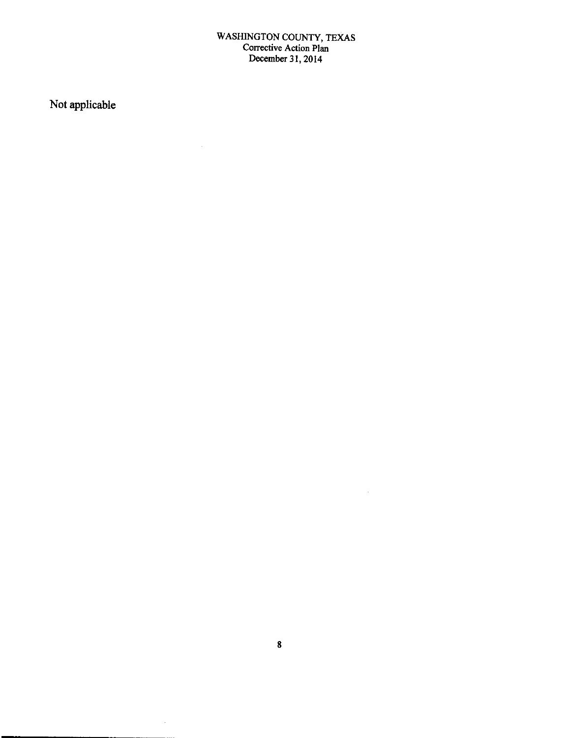#### WASHINGTON COUNTY, TEXAS Corrective Action Plan December 31, 2014

Not applicable

 $\mathcal{A}^{\mathcal{A}}$ 

 $\sim$   $\sim$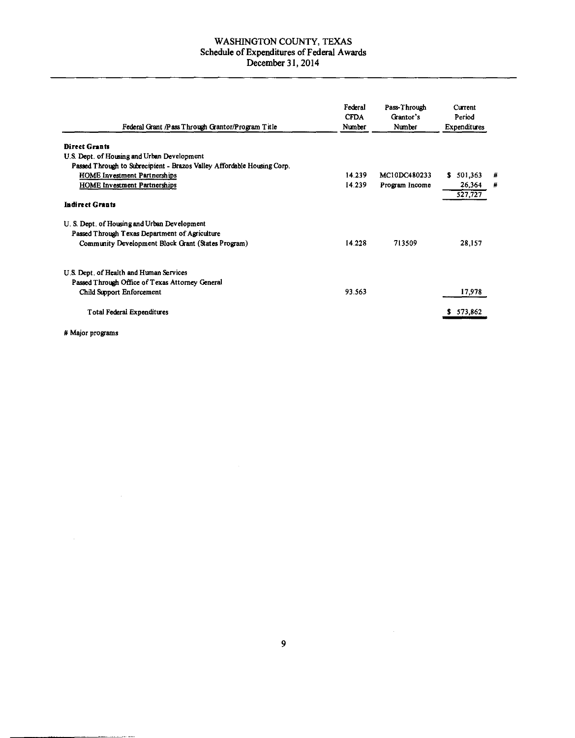#### WASHINGTON COUNTY, TEXAS Schedule of Expenditures of Federal Awards December 31, 2014

| Federal Grant /Pass Through Grantor/Program Title                       | Federal<br><b>CFDA</b><br>Number | Pass-Through<br>Grantor's<br>Number | Current<br>Period<br>Expenditures |   |
|-------------------------------------------------------------------------|----------------------------------|-------------------------------------|-----------------------------------|---|
| Direct Grants                                                           |                                  |                                     |                                   |   |
| U.S. Dept. of Housing and Urban Development                             |                                  |                                     |                                   |   |
| Passed Through to Subrecipient - Brazos Valley Affordable Housing Corp. |                                  |                                     |                                   |   |
| HOME Investment Partnerships                                            | 14.239                           | MC10DC480233                        | \$501,363                         | # |
| <b>HOME</b> Investment Partnerships                                     | 14.239                           | Program Income                      | 26,364                            | # |
|                                                                         |                                  |                                     | 527,727                           |   |
| <b>Indirect Grants</b>                                                  |                                  |                                     |                                   |   |
| U. S. Dept. of Housing and Urban Development                            |                                  |                                     |                                   |   |
| Passed Through Texas Department of Agriculture                          |                                  |                                     |                                   |   |
| Community Development Block Grant (States Program)                      | 14.228                           | 713509                              | 28,157                            |   |
| U.S. Dept. of Health and Human Services                                 |                                  |                                     |                                   |   |
| Passed Through Office of Texas Attorney General                         |                                  |                                     |                                   |   |
| Child Support Enforcement                                               | 93.563                           |                                     | 17,978                            |   |
|                                                                         |                                  |                                     |                                   |   |
| <b>Total Federal Expenditures</b>                                       |                                  |                                     | \$573,862                         |   |
|                                                                         |                                  |                                     |                                   |   |

**# Major programs** 

 $\sim 10^6$ 

 $\sim 10^{-1}$